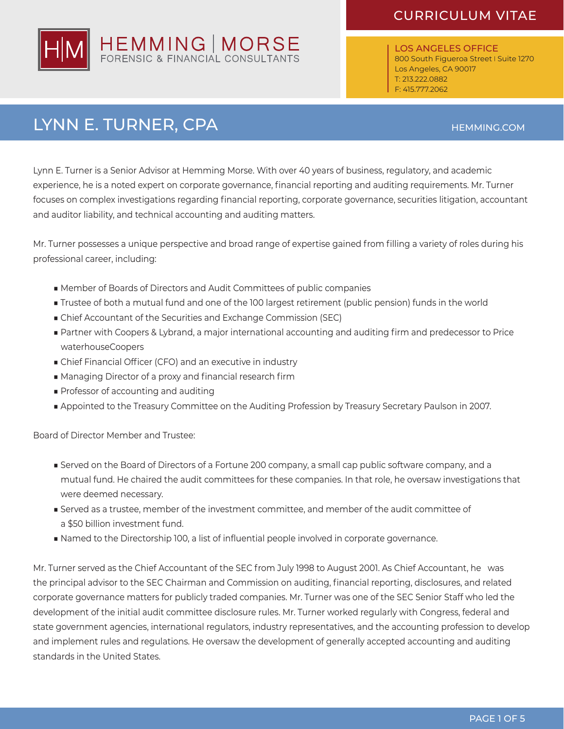

LOS ANGELES OFFICE 800 South Figueroa Street I Suite 1270 Los Angeles, CA 90017 T: 213.222.0882 F: 415.777.2062

# LYNN E. TURNER, CPA

HEMMING.COM

Lynn E. Turner is a Senior Advisor at Hemming Morse. With over 40 years of business, regulatory, and academic experience, he is a noted expert on corporate governance, financial reporting and auditing requirements. Mr. Turner focuses on complex investigations regarding financial reporting, corporate governance, securities litigation, accountant and auditor liability, and technical accounting and auditing matters.

Mr. Turner possesses a unique perspective and broad range of expertise gained from filling a variety of roles during his professional career, including:

- Member of Boards of Directors and Audit Committees of public companies
- Trustee of both a mutual fund and one of the 100 largest retirement (public pension) funds in the world
- Chief Accountant of the Securities and Exchange Commission (SEC)
- Partner with Coopers & Lybrand, a major international accounting and auditing firm and predecessor to Price waterhouseCoopers
- Chief Financial Officer (CFO) and an executive in industry
- Managing Director of a proxy and financial research firm
- Professor of accounting and auditing
- Appointed to the Treasury Committee on the Auditing Profession by Treasury Secretary Paulson in 2007.

Board of Director Member and Trustee:

- Served on the Board of Directors of a Fortune 200 company, a small cap public software company, and a mutual fund. He chaired the audit committees for these companies. In that role, he oversaw investigations that were deemed necessary.
- Served as a trustee, member of the investment committee, and member of the audit committee of a \$50 billion investment fund.
- Named to the Directorship 100, a list of influential people involved in corporate governance.

Mr. Turner served as the Chief Accountant of the SEC from July 1998 to August 2001. As Chief Accountant, he was the principal advisor to the SEC Chairman and Commission on auditing, financial reporting, disclosures, and related corporate governance matters for publicly traded companies. Mr. Turner was one of the SEC Senior Staff who led the development of the initial audit committee disclosure rules. Mr. Turner worked regularly with Congress, federal and state government agencies, international regulators, industry representatives, and the accounting profession to develop and implement rules and regulations. He oversaw the development of generally accepted accounting and auditing standards in the United States.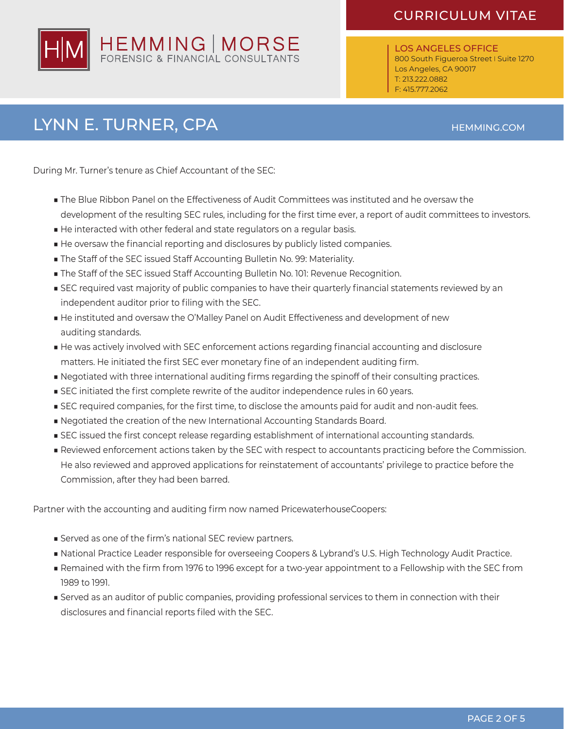

LOS ANGELES OFFICE 800 South Figueroa Street I Suite 1270 Los Angeles, CA 90017 T: 213.222.0882 F: 415.777.2062

# LYNN E. TURNER, CPA HEMMING.COM

During Mr. Turner's tenure as Chief Accountant of the SEC:

- The Blue Ribbon Panel on the Effectiveness of Audit Committees was instituted and he oversaw the development of the resulting SEC rules, including for the first time ever, a report of audit committees to investors.
- He interacted with other federal and state regulators on a regular basis.
- He oversaw the financial reporting and disclosures by publicly listed companies.
- The Staff of the SEC issued Staff Accounting Bulletin No. 99: Materiality.
- The Staff of the SEC issued Staff Accounting Bulletin No. 101: Revenue Recognition.
- SEC required vast majority of public companies to have their quarterly financial statements reviewed by an independent auditor prior to filing with the SEC.
- He instituted and oversaw the O'Malley Panel on Audit Effectiveness and development of new auditing standards.
- He was actively involved with SEC enforcement actions regarding financial accounting and disclosure matters. He initiated the first SEC ever monetary fine of an independent auditing firm.
- Negotiated with three international auditing firms regarding the spinoff of their consulting practices.
- SEC initiated the first complete rewrite of the auditor independence rules in 60 years.
- SEC required companies, for the first time, to disclose the amounts paid for audit and non-audit fees.
- Negotiated the creation of the new International Accounting Standards Board.
- SEC issued the first concept release regarding establishment of international accounting standards.
- Reviewed enforcement actions taken by the SEC with respect to accountants practicing before the Commission. He also reviewed and approved applications for reinstatement of accountants' privilege to practice before the Commission, after they had been barred.

Partner with the accounting and auditing firm now named PricewaterhouseCoopers:

- Served as one of the firm's national SEC review partners.
- National Practice Leader responsible for overseeing Coopers & Lybrand's U.S. High Technology Audit Practice.
- Remained with the firm from 1976 to 1996 except for a two-year appointment to a Fellowship with the SEC from 1989 to 1991.
- Served as an auditor of public companies, providing professional services to them in connection with their disclosures and financial reports filed with the SEC.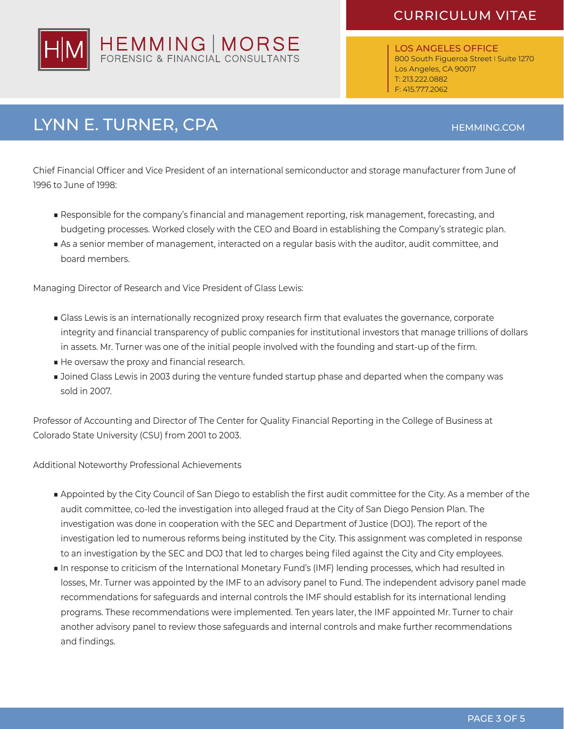

LOS ANGELES OFFICE 800 South Figueroa Street I Suite 1270 Los Angeles, CA 90017 T: 213.222.0882 F: 415.777.2062

# LYNN E. TURNER, CPA HEMMING.COM

Chief Financial Officer and Vice President of an international semiconductor and storage manufacturer from June of 1996 to June of 1998:

- Responsible for the company's financial and management reporting, risk management, forecasting, and budgeting processes. Worked closely with the CEO and Board in establishing the Company's strategic plan.
- As a senior member of management, interacted on a regular basis with the auditor, audit committee, and board members.

Managing Director of Research and Vice President of Glass Lewis:

- Glass Lewis is an internationally recognized proxy research firm that evaluates the governance, corporate integrity and financial transparency of public companies for institutional investors that manage trillions of dollars in assets. Mr. Turner was one of the initial people involved with the founding and start-up of the firm.
- He oversaw the proxy and financial research.
- Joined Glass Lewis in 2003 during the venture funded startup phase and departed when the company was sold in 2007.

Professor of Accounting and Director of The Center for Quality Financial Reporting in the College of Business at Colorado State University (CSU) from 2001 to 2003.

Additional Noteworthy Professional Achievements

- Appointed by the City Council of San Diego to establish the first audit committee for the City. As a member of the audit committee, co-led the investigation into alleged fraud at the City of San Diego Pension Plan. The investigation was done in cooperation with the SEC and Department of Justice (DOJ). The report of the investigation led to numerous reforms being instituted by the City. This assignment was completed in response to an investigation by the SEC and DOJ that led to charges being filed against the City and City employees.
- In response to criticism of the International Monetary Fund's (IMF) lending processes, which had resulted in losses, Mr. Turner was appointed by the IMF to an advisory panel to Fund. The independent advisory panel made recommendations for safeguards and internal controls the IMF should establish for its international lending programs. These recommendations were implemented. Ten years later, the IMF appointed Mr. Turner to chair another advisory panel to review those safeguards and internal controls and make further recommendations and findings.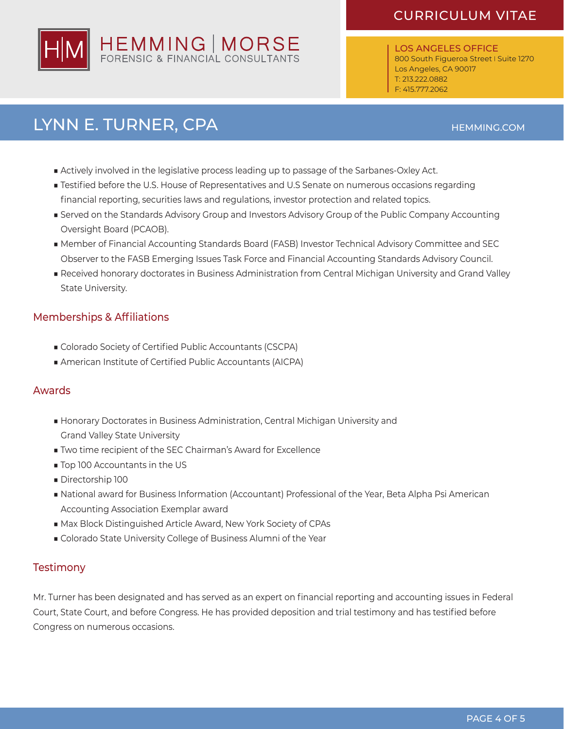

LOS ANGELES OFFICE 800 South Figueroa Street I Suite 1270 Los Angeles, CA 90017 T: 213.222.0882 F: 415.777.2062

## LYNN E. TURNER, CPA HEMMING.COM

- 
- Actively involved in the legislative process leading up to passage of the Sarbanes-Oxley Act.
- Testified before the U.S. House of Representatives and U.S Senate on numerous occasions regarding financial reporting, securities laws and regulations, investor protection and related topics.
- Served on the Standards Advisory Group and Investors Advisory Group of the Public Company Accounting Oversight Board (PCAOB).
- Member of Financial Accounting Standards Board (FASB) Investor Technical Advisory Committee and SEC Observer to the FASB Emerging Issues Task Force and Financial Accounting Standards Advisory Council.
- Received honorary doctorates in Business Administration from Central Michigan University and Grand Valley State University.

#### Memberships & Affiliations

- Colorado Society of Certified Public Accountants (CSCPA)
- American Institute of Certified Public Accountants (AICPA)

#### Awards

- Honorary Doctorates in Business Administration, Central Michigan University and Grand Valley State University
- Two time recipient of the SEC Chairman's Award for Excellence
- Top 100 Accountants in the US
- Directorship 100
- National award for Business Information (Accountant) Professional of the Year, Beta Alpha Psi American Accounting Association Exemplar award
- Max Block Distinguished Article Award, New York Society of CPAs
- Colorado State University College of Business Alumni of the Year

#### **Testimony**

Mr. Turner has been designated and has served as an expert on financial reporting and accounting issues in Federal Court, State Court, and before Congress. He has provided deposition and trial testimony and has testified before Congress on numerous occasions.